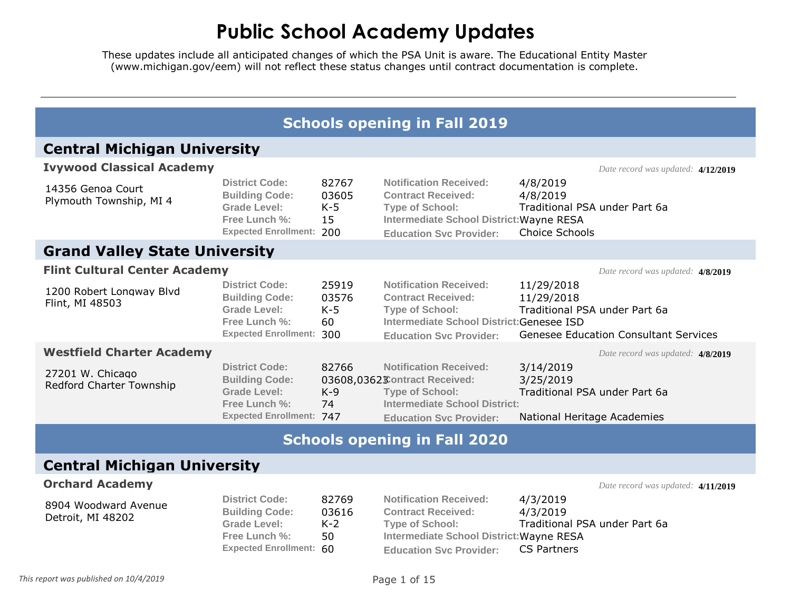|                                              |                                                                                                                           |                                      | <b>Schools opening in Fall 2019</b>                                                                                                                                   |                                                                                                           |
|----------------------------------------------|---------------------------------------------------------------------------------------------------------------------------|--------------------------------------|-----------------------------------------------------------------------------------------------------------------------------------------------------------------------|-----------------------------------------------------------------------------------------------------------|
| <b>Central Michigan University</b>           |                                                                                                                           |                                      |                                                                                                                                                                       |                                                                                                           |
| <b>Ivywood Classical Academy</b>             |                                                                                                                           |                                      |                                                                                                                                                                       | Date record was updated: 4/12/2019                                                                        |
| 14356 Genoa Court<br>Plymouth Township, MI 4 | <b>District Code:</b><br><b>Building Code:</b><br><b>Grade Level:</b><br>Free Lunch %:<br><b>Expected Enrollment: 200</b> | 82767<br>03605<br>$K-5$<br>15        | <b>Notification Received:</b><br><b>Contract Received:</b><br><b>Type of School:</b><br>Intermediate School District: Wayne RESA<br><b>Education Svc Provider:</b>    | 4/8/2019<br>4/8/2019<br>Traditional PSA under Part 6a<br>Choice Schools                                   |
| <b>Grand Valley State University</b>         |                                                                                                                           |                                      |                                                                                                                                                                       |                                                                                                           |
| <b>Flint Cultural Center Academy</b>         |                                                                                                                           |                                      |                                                                                                                                                                       | Date record was updated: 4/8/2019                                                                         |
| 1200 Robert Longway Blvd<br>Flint, MI 48503  | <b>District Code:</b><br><b>Building Code:</b><br><b>Grade Level:</b><br>Free Lunch %:<br><b>Expected Enrollment:</b>     | 25919<br>03576<br>$K-5$<br>60<br>300 | <b>Notification Received:</b><br><b>Contract Received:</b><br><b>Type of School:</b><br>Intermediate School District:Genesee ISD<br><b>Education Svc Provider:</b>    | 11/29/2018<br>11/29/2018<br>Traditional PSA under Part 6a<br><b>Genesee Education Consultant Services</b> |
| <b>Westfield Charter Academy</b>             |                                                                                                                           |                                      |                                                                                                                                                                       | Date record was updated: 4/8/2019                                                                         |
| 27201 W. Chicago<br>Redford Charter Township | <b>District Code:</b><br><b>Building Code:</b><br><b>Grade Level:</b><br>Free Lunch %:<br><b>Expected Enrollment: 747</b> | 82766<br>$K-9$<br>74                 | <b>Notification Received:</b><br>03608,0362 $$$ Ontract Received:<br><b>Type of School:</b><br><b>Intermediate School District:</b><br><b>Education Svc Provider:</b> | 3/14/2019<br>3/25/2019<br>Traditional PSA under Part 6a<br>National Heritage Academies                    |
|                                              |                                                                                                                           |                                      | <b>Schools opening in Fall 2020</b>                                                                                                                                   |                                                                                                           |
| <b>Central Michigan University</b>           |                                                                                                                           |                                      |                                                                                                                                                                       |                                                                                                           |
| <b>Orchard Academy</b>                       |                                                                                                                           |                                      |                                                                                                                                                                       | Date record was updated: 4/11/2019                                                                        |
| 8904 Woodward Avenue<br>Detroit, MI 48202    | <b>District Code:</b><br><b>Building Code:</b><br>Grade Level:<br>Free Lunch %:<br><b>Expected Enrollment: 60</b>         | 82769<br>03616<br>$K-2$<br>50        | <b>Notification Received:</b><br><b>Contract Received:</b><br><b>Type of School:</b><br>Intermediate School District: Wayne RESA<br><b>Education Svc Provider:</b>    | 4/3/2019<br>4/3/2019<br>Traditional PSA under Part 6a<br><b>CS Partners</b>                               |
| This report was published on 10/4/2019       |                                                                                                                           |                                      | Page 1 of 15                                                                                                                                                          |                                                                                                           |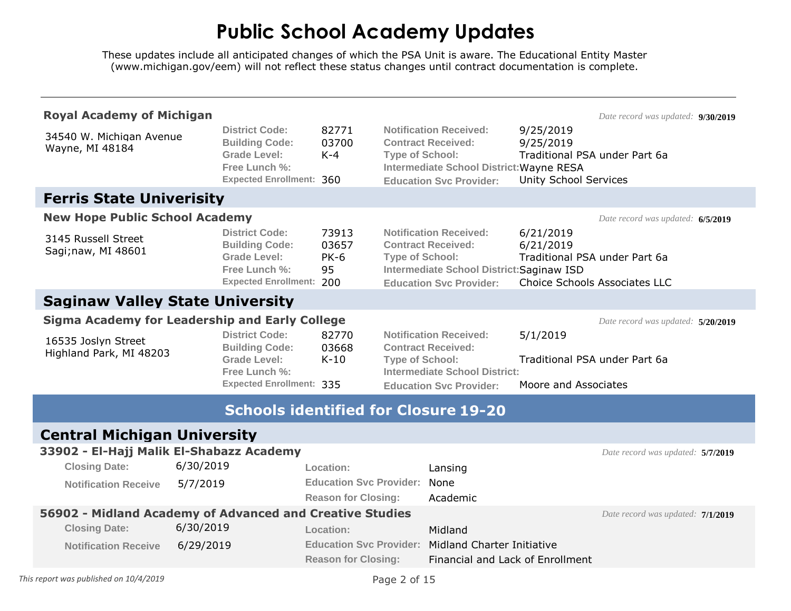| <b>Royal Academy of Michigan</b>                         |           |                                                                                                                           |                                     |                        |                                                                                                                                           |                                                                                          | Date record was updated: 9/30/2019 |  |
|----------------------------------------------------------|-----------|---------------------------------------------------------------------------------------------------------------------------|-------------------------------------|------------------------|-------------------------------------------------------------------------------------------------------------------------------------------|------------------------------------------------------------------------------------------|------------------------------------|--|
| 34540 W. Michigan Avenue<br>Wayne, MI 48184              |           | <b>District Code:</b><br><b>Building Code:</b><br><b>Grade Level:</b><br>Free Lunch %:<br><b>Expected Enrollment: 360</b> | 82771<br>03700<br>$K-4$             | <b>Type of School:</b> | <b>Notification Received:</b><br><b>Contract Received:</b><br>Intermediate School District: Wayne RESA                                    | 9/25/2019<br>9/25/2019<br>Traditional PSA under Part 6a<br><b>Unity School Services</b>  |                                    |  |
|                                                          |           |                                                                                                                           |                                     |                        | <b>Education Svc Provider:</b>                                                                                                            |                                                                                          |                                    |  |
| <b>Ferris State Univerisity</b>                          |           |                                                                                                                           |                                     |                        |                                                                                                                                           |                                                                                          |                                    |  |
| <b>New Hope Public School Academy</b>                    |           |                                                                                                                           |                                     |                        |                                                                                                                                           |                                                                                          | Date record was updated: 6/5/2019  |  |
| 3145 Russell Street<br>Sagi;naw, MI 48601                |           | <b>District Code:</b><br><b>Building Code:</b><br><b>Grade Level:</b><br>Free Lunch %:<br><b>Expected Enrollment: 200</b> | 73913<br>03657<br><b>PK-6</b><br>95 | <b>Type of School:</b> | <b>Notification Received:</b><br><b>Contract Received:</b><br>Intermediate School District: Saginaw ISD<br><b>Education Svc Provider:</b> | 6/21/2019<br>6/21/2019<br>Traditional PSA under Part 6a<br>Choice Schools Associates LLC |                                    |  |
| <b>Saginaw Valley State University</b>                   |           |                                                                                                                           |                                     |                        |                                                                                                                                           |                                                                                          |                                    |  |
| <b>Sigma Academy for Leadership and Early College</b>    |           |                                                                                                                           |                                     |                        |                                                                                                                                           |                                                                                          | Date record was updated: 5/20/2019 |  |
| 16535 Joslyn Street                                      |           | <b>District Code:</b><br><b>Building Code:</b>                                                                            | 82770<br>03668                      |                        | <b>Notification Received:</b><br><b>Contract Received:</b>                                                                                | 5/1/2019                                                                                 |                                    |  |
| Highland Park, MI 48203                                  |           | Grade Level:<br>Free Lunch %:                                                                                             | $K-10$                              | <b>Type of School:</b> | <b>Intermediate School District:</b>                                                                                                      | Traditional PSA under Part 6a                                                            |                                    |  |
|                                                          |           | <b>Expected Enrollment: 335</b>                                                                                           |                                     |                        | <b>Education Svc Provider:</b>                                                                                                            | Moore and Associates                                                                     |                                    |  |
|                                                          |           | <b>Schools identified for Closure 19-20</b>                                                                               |                                     |                        |                                                                                                                                           |                                                                                          |                                    |  |
|                                                          |           |                                                                                                                           |                                     |                        |                                                                                                                                           |                                                                                          |                                    |  |
| <b>Central Michigan University</b>                       |           |                                                                                                                           |                                     |                        |                                                                                                                                           |                                                                                          |                                    |  |
| 33902 - El-Hajj Malik El-Shabazz Academy                 |           |                                                                                                                           |                                     |                        |                                                                                                                                           |                                                                                          | Date record was updated: 5/7/2019  |  |
| <b>Closing Date:</b>                                     | 6/30/2019 |                                                                                                                           | Location:                           |                        | Lansing                                                                                                                                   |                                                                                          |                                    |  |
| <b>Notification Receive</b>                              | 5/7/2019  |                                                                                                                           | <b>Education Svc Provider:</b>      |                        | None                                                                                                                                      |                                                                                          |                                    |  |
|                                                          |           |                                                                                                                           | <b>Reason for Closing:</b>          |                        | Academic                                                                                                                                  |                                                                                          |                                    |  |
| 56902 - Midland Academy of Advanced and Creative Studies |           |                                                                                                                           |                                     |                        |                                                                                                                                           |                                                                                          | Date record was updated: 7/1/2019  |  |
| <b>Closing Date:</b>                                     | 6/30/2019 |                                                                                                                           | Location:                           |                        | Midland                                                                                                                                   |                                                                                          |                                    |  |
| <b>Notification Receive</b>                              | 6/29/2019 |                                                                                                                           |                                     |                        | <b>Education Svc Provider: Midland Charter Initiative</b>                                                                                 |                                                                                          |                                    |  |
|                                                          |           |                                                                                                                           | <b>Reason for Closing:</b>          |                        | Financial and Lack of Enrollment                                                                                                          |                                                                                          |                                    |  |
| This report was published on 10/4/2019                   |           |                                                                                                                           |                                     | Page 2 of 15           |                                                                                                                                           |                                                                                          |                                    |  |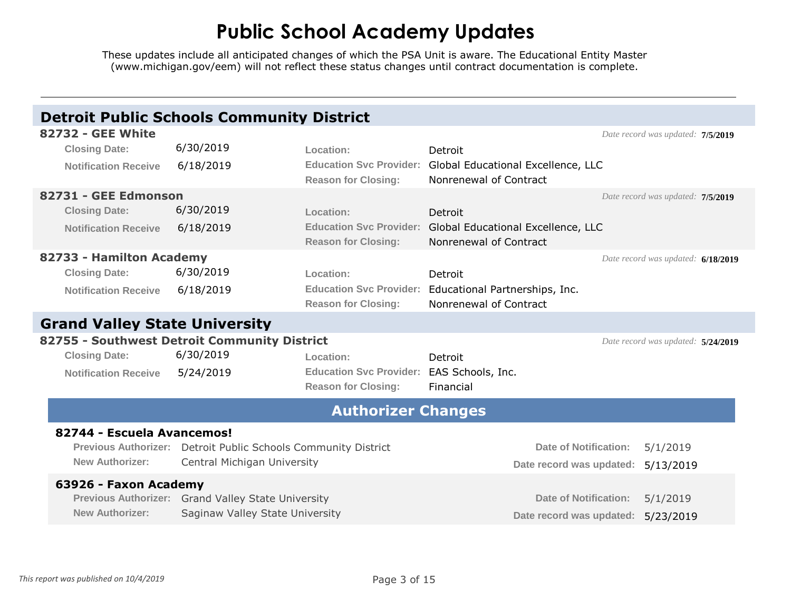|                                      | <b>Detroit Public Schools Community District</b>               |                                           |                                                            |                                    |  |
|--------------------------------------|----------------------------------------------------------------|-------------------------------------------|------------------------------------------------------------|------------------------------------|--|
| <b>82732 - GEE White</b>             |                                                                |                                           |                                                            | Date record was updated: 7/5/2019  |  |
| <b>Closing Date:</b>                 | 6/30/2019                                                      | Location:                                 | Detroit                                                    |                                    |  |
| <b>Notification Receive</b>          | 6/18/2019                                                      |                                           | Education Svc Provider: Global Educational Excellence, LLC |                                    |  |
|                                      |                                                                | <b>Reason for Closing:</b>                | Nonrenewal of Contract                                     |                                    |  |
| 82731 - GEE Edmonson                 |                                                                |                                           |                                                            | Date record was updated: 7/5/2019  |  |
| <b>Closing Date:</b>                 | 6/30/2019                                                      | Location:                                 | Detroit                                                    |                                    |  |
| <b>Notification Receive</b>          | 6/18/2019                                                      | <b>Education Svc Provider:</b>            | Global Educational Excellence, LLC                         |                                    |  |
|                                      |                                                                | <b>Reason for Closing:</b>                | Nonrenewal of Contract                                     |                                    |  |
| 82733 - Hamilton Academy             |                                                                |                                           |                                                            | Date record was updated: 6/18/2019 |  |
| <b>Closing Date:</b>                 | 6/30/2019                                                      | Location:                                 | Detroit                                                    |                                    |  |
| <b>Notification Receive</b>          | 6/18/2019                                                      |                                           | Education Svc Provider: Educational Partnerships, Inc.     |                                    |  |
|                                      |                                                                | <b>Reason for Closing:</b>                | Nonrenewal of Contract                                     |                                    |  |
| <b>Grand Valley State University</b> |                                                                |                                           |                                                            |                                    |  |
|                                      | 82755 - Southwest Detroit Community District                   |                                           |                                                            | Date record was updated: 5/24/2019 |  |
| <b>Closing Date:</b>                 | 6/30/2019                                                      | Location:                                 | Detroit                                                    |                                    |  |
| <b>Notification Receive</b>          | 5/24/2019                                                      | Education Svc Provider: EAS Schools, Inc. |                                                            |                                    |  |
|                                      |                                                                | <b>Reason for Closing:</b>                | Financial                                                  |                                    |  |
|                                      |                                                                | <b>Authorizer Changes</b>                 |                                                            |                                    |  |
| 82744 - Escuela Avancemos!           |                                                                |                                           |                                                            |                                    |  |
|                                      | Previous Authorizer: Detroit Public Schools Community District |                                           | Date of Notification:                                      | 5/1/2019                           |  |
| <b>New Authorizer:</b>               | Central Michigan University                                    |                                           | Date record was updated:                                   | 5/13/2019                          |  |
| 63926 - Faxon Academy                |                                                                |                                           |                                                            |                                    |  |
|                                      | Previous Authorizer: Grand Valley State University             |                                           | <b>Date of Notification:</b>                               | 5/1/2019                           |  |
| <b>New Authorizer:</b>               | Saginaw Valley State University                                |                                           | Date record was updated:                                   | 5/23/2019                          |  |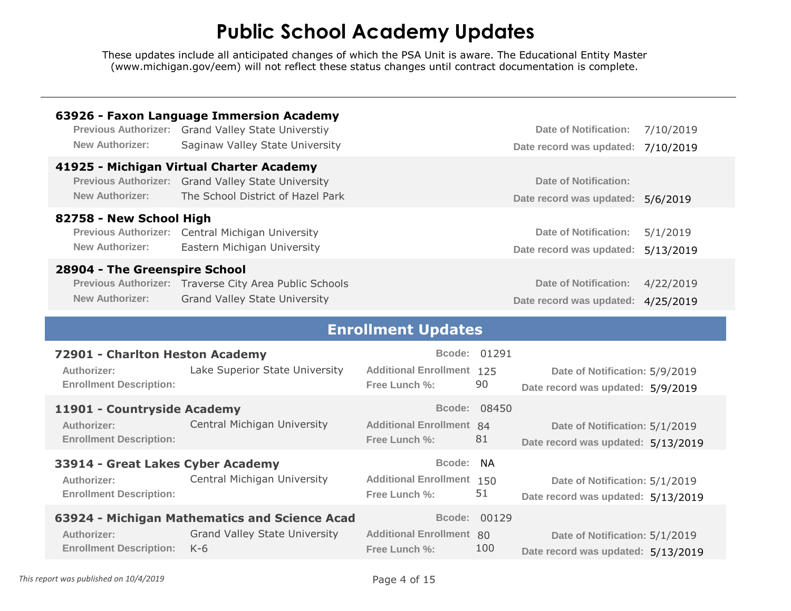| <b>New Authorizer:</b>                                                           | 63926 - Faxon Language Immersion Academy<br>Previous Authorizer: Grand Valley State Universtiy<br>Saginaw Valley State University   |                                                             |                     | <b>Date of Notification:</b><br>Date record was updated:             | 7/10/2019<br>7/10/2019 |
|----------------------------------------------------------------------------------|-------------------------------------------------------------------------------------------------------------------------------------|-------------------------------------------------------------|---------------------|----------------------------------------------------------------------|------------------------|
| <b>New Authorizer:</b>                                                           | 41925 - Michigan Virtual Charter Academy<br>Previous Authorizer: Grand Valley State University<br>The School District of Hazel Park |                                                             |                     | <b>Date of Notification:</b><br>Date record was updated:             | 5/6/2019               |
| 82758 - New School High<br><b>Previous Authorizer:</b><br><b>New Authorizer:</b> | Central Michigan University<br>Eastern Michigan University                                                                          |                                                             |                     | <b>Date of Notification:</b><br>Date record was updated:             | 5/1/2019<br>5/13/2019  |
| 28904 - The Greenspire School<br><b>New Authorizer:</b>                          | Previous Authorizer: Traverse City Area Public Schools<br><b>Grand Valley State University</b>                                      |                                                             |                     | <b>Date of Notification:</b><br>Date record was updated:             | 4/22/2019<br>4/25/2019 |
|                                                                                  |                                                                                                                                     | <b>Enrollment Updates</b>                                   |                     |                                                                      |                        |
|                                                                                  |                                                                                                                                     |                                                             |                     |                                                                      |                        |
| Authorizer:<br><b>Enrollment Description:</b>                                    | 72901 - Charlton Heston Academy<br>Lake Superior State University                                                                   | <b>Additional Enrollment 125</b><br>Free Lunch %:           | Bcode: 01291<br>90  | Date of Notification: 5/9/2019<br>Date record was updated: 5/9/2019  |                        |
| 11901 - Countryside Academy<br>Authorizer:<br><b>Enrollment Description:</b>     | Central Michigan University                                                                                                         | <b>Additional Enrollment 84</b><br>Free Lunch %:            | Bcode: 08450<br>81  | Date of Notification: 5/1/2019<br>Date record was updated: 5/13/2019 |                        |
| Authorizer:<br><b>Enrollment Description:</b>                                    | 33914 - Great Lakes Cyber Academy<br>Central Michigan University                                                                    | Bcode:<br><b>Additional Enrollment 150</b><br>Free Lunch %: | <b>NA</b><br>51     | Date of Notification: 5/1/2019<br>Date record was updated: 5/13/2019 |                        |
| Authorizer:<br><b>Enrollment Description:</b>                                    | 63924 - Michigan Mathematics and Science Acad<br><b>Grand Valley State University</b><br>$K-6$                                      | <b>Additional Enrollment 80</b><br>Free Lunch %:            | Bcode: 00129<br>100 | Date of Notification: 5/1/2019<br>Date record was updated: 5/13/2019 |                        |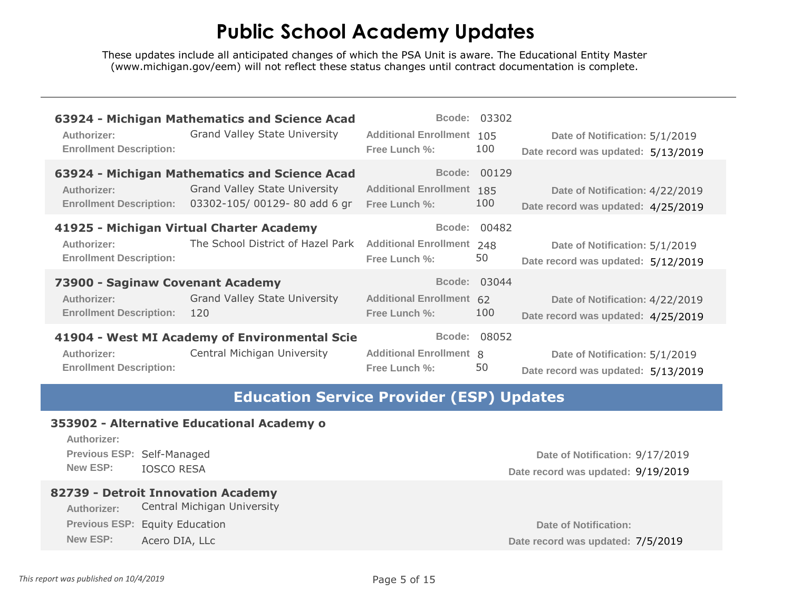These updates include all anticipated changes of which the PSA Unit is aware. The Educational Entity Master [\(www.michigan.gov/eem\)](www.michigan.gov/eem) will not reflect these status changes until contract documentation is complete.

| Authorizer:                                                                              | 63924 - Michigan Mathematics and Science Acad                                                                        | <b>Additional Enrollment 105</b>                         | Bcode: 03302        | Date of Notification: 5/1/2019                                        |
|------------------------------------------------------------------------------------------|----------------------------------------------------------------------------------------------------------------------|----------------------------------------------------------|---------------------|-----------------------------------------------------------------------|
| <b>Enrollment Description:</b>                                                           | <b>Grand Valley State University</b>                                                                                 | Free Lunch %:                                            | 100                 | Date record was updated: 5/13/2019                                    |
| Authorizer:<br><b>Enrollment Description:</b>                                            | 63924 - Michigan Mathematics and Science Acad<br><b>Grand Valley State University</b><br>03302-105/00129-80 add 6 gr | <b>Additional Enrollment 185</b><br><b>Free Lunch %:</b> | Bcode: 00129<br>100 | Date of Notification: 4/22/2019<br>Date record was updated: 4/25/2019 |
| Authorizer:                                                                              | 41925 - Michigan Virtual Charter Academy                                                                             | <b>Additional Enrollment 248</b>                         | Bcode: 00482        | Date of Notification: 5/1/2019                                        |
| <b>Enrollment Description:</b>                                                           | The School District of Hazel Park                                                                                    | Free Lunch %:                                            | 50                  | Date record was updated: 5/12/2019                                    |
| 73900 - Saginaw Covenant Academy<br><b>Authorizer:</b><br><b>Enrollment Description:</b> | <b>Grand Valley State University</b><br>120                                                                          | <b>Additional Enrollment 62</b><br>Free Lunch %:         | Bcode: 03044<br>100 | Date of Notification: 4/22/2019<br>Date record was updated: 4/25/2019 |
| Authorizer:                                                                              | 41904 - West MI Academy of Environmental Scie                                                                        | <b>Additional Enrollment 8</b>                           | Bcode: 08052        | Date of Notification: 5/1/2019                                        |
| <b>Enrollment Description:</b>                                                           | Central Michigan University                                                                                          | Free Lunch %:                                            | 50                  | Date record was updated: 5/13/2019                                    |

#### **Education Service Provider (ESP) Updates**

#### **353902 - Alternative Educational Academy o**

**Authorizer:** 

**Previous ESP:** Self-Managed

#### **82739 - Detroit Innovation Academy**

**Authorizer:** Central Michigan University **Previous ESP:** Equity Education **Date of Notification: Date of Notification: Date of Notification: New ESP:** Acero DIA, LLc **Date record was updated: 7/5/2019** 

**Date of Notification:** 9/17/2019 New ESP: IOSCO RESA **Date record was updated: 9/19/2019**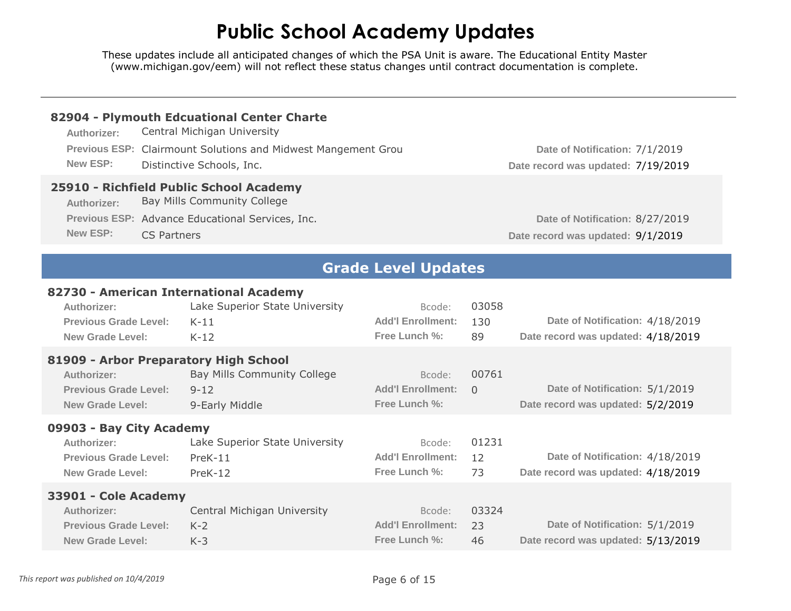| Authorizer:<br>New ESP:                                                                     | 82904 - Plymouth Edcuational Center Charte<br>Central Michigan University<br>Previous ESP: Clairmount Solutions and Midwest Mangement Grou<br>Distinctive Schools, Inc. |                                                     |                    | Date of Notification: 7/1/2019                                                                             |
|---------------------------------------------------------------------------------------------|-------------------------------------------------------------------------------------------------------------------------------------------------------------------------|-----------------------------------------------------|--------------------|------------------------------------------------------------------------------------------------------------|
| Authorizer:<br><b>New ESP:</b>                                                              | 25910 - Richfield Public School Academy<br><b>Bay Mills Community College</b><br>Previous ESP: Advance Educational Services, Inc.<br><b>CS Partners</b>                 |                                                     |                    | Date record was updated: 7/19/2019<br>Date of Notification: 8/27/2019<br>Date record was updated: 9/1/2019 |
|                                                                                             |                                                                                                                                                                         | <b>Grade Level Updates</b>                          |                    |                                                                                                            |
| Authorizer:<br>Previous Grade Level:<br><b>New Grade Level:</b>                             | 82730 - American International Academy<br>Lake Superior State University<br>$K-11$<br>$K-12$<br>81909 - Arbor Preparatory High School                                   | Bcode:<br><b>Add'l Enrollment:</b><br>Free Lunch %: | 03058<br>130<br>89 | Date of Notification: 4/18/2019<br>Date record was updated: 4/18/2019                                      |
| Authorizer:<br><b>Previous Grade Level:</b><br><b>New Grade Level:</b>                      | Bay Mills Community College<br>$9 - 12$<br>9-Early Middle                                                                                                               | Bcode:<br><b>Add'l Enrollment:</b><br>Free Lunch %: | 00761<br>$\Omega$  | Date of Notification: 5/1/2019<br>Date record was updated: 5/2/2019                                        |
| 09903 - Bay City Academy<br>Authorizer:<br>Previous Grade Level:<br><b>New Grade Level:</b> | Lake Superior State University<br>$PreK-11$<br>PreK-12                                                                                                                  | Bcode:<br><b>Add'l Enrollment:</b><br>Free Lunch %: | 01231<br>12<br>73  | Date of Notification: 4/18/2019<br>Date record was updated: 4/18/2019                                      |
| 33901 - Cole Academy<br>Authorizer:<br><b>Previous Grade Level:</b><br>New Grade Level:     | Central Michigan University<br>$K-2$<br>$K-3$                                                                                                                           | Bcode:<br><b>Add'l Enrollment:</b><br>Free Lunch %: | 03324<br>23<br>46  | Date of Notification: 5/1/2019<br>Date record was updated: 5/13/2019                                       |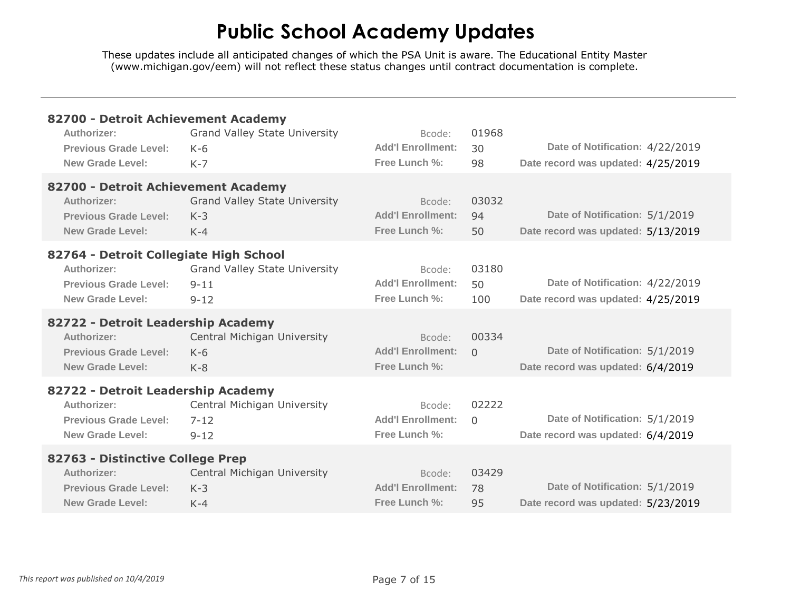| 82700 - Detroit Achievement Academy    |                                      |                          |          |                                    |
|----------------------------------------|--------------------------------------|--------------------------|----------|------------------------------------|
| Authorizer:                            | <b>Grand Valley State University</b> | Bcode:                   | 01968    |                                    |
| Previous Grade Level:                  | $K-6$                                | <b>Add'l Enrollment:</b> | 30       | Date of Notification: 4/22/2019    |
| <b>New Grade Level:</b>                | $K-7$                                | Free Lunch %:            | 98       | Date record was updated: 4/25/2019 |
| 82700 - Detroit Achievement Academy    |                                      |                          |          |                                    |
| Authorizer:                            | <b>Grand Valley State University</b> | Bcode:                   | 03032    |                                    |
| <b>Previous Grade Level:</b>           | $K-3$                                | <b>Add'l Enrollment:</b> | 94       | Date of Notification: 5/1/2019     |
| New Grade Level:                       | $K-4$                                | Free Lunch %:            | 50       | Date record was updated: 5/13/2019 |
| 82764 - Detroit Collegiate High School |                                      |                          |          |                                    |
| Authorizer:                            | <b>Grand Valley State University</b> | Bcode:                   | 03180    |                                    |
| <b>Previous Grade Level:</b>           | $9 - 11$                             | <b>Add'l Enrollment:</b> | 50       | Date of Notification: 4/22/2019    |
| New Grade Level:                       | $9 - 12$                             | Free Lunch %:            | 100      | Date record was updated: 4/25/2019 |
| 82722 - Detroit Leadership Academy     |                                      |                          |          |                                    |
| Authorizer:                            | Central Michigan University          | Bcode:                   | 00334    |                                    |
| <b>Previous Grade Level:</b>           | $K-6$                                | <b>Add'l Enrollment:</b> | $\Omega$ | Date of Notification: 5/1/2019     |
| New Grade Level:                       | $K-8$                                | Free Lunch %:            |          | Date record was updated: 6/4/2019  |
| 82722 - Detroit Leadership Academy     |                                      |                          |          |                                    |
| Authorizer:                            | Central Michigan University          | Bcode:                   | 02222    |                                    |
| <b>Previous Grade Level:</b>           | $7 - 12$                             | <b>Add'l Enrollment:</b> | $\Omega$ | Date of Notification: 5/1/2019     |
| <b>New Grade Level:</b>                | $9 - 12$                             | Free Lunch %:            |          | Date record was updated: 6/4/2019  |
| 82763 - Distinctive College Prep       |                                      |                          |          |                                    |
| Authorizer:                            | Central Michigan University          | Bcode:                   | 03429    |                                    |
| <b>Previous Grade Level:</b>           | $K-3$                                | <b>Add'l Enrollment:</b> | 78       | Date of Notification: 5/1/2019     |
| New Grade Level:                       | $K-4$                                | Free Lunch %:            | 95       | Date record was updated: 5/23/2019 |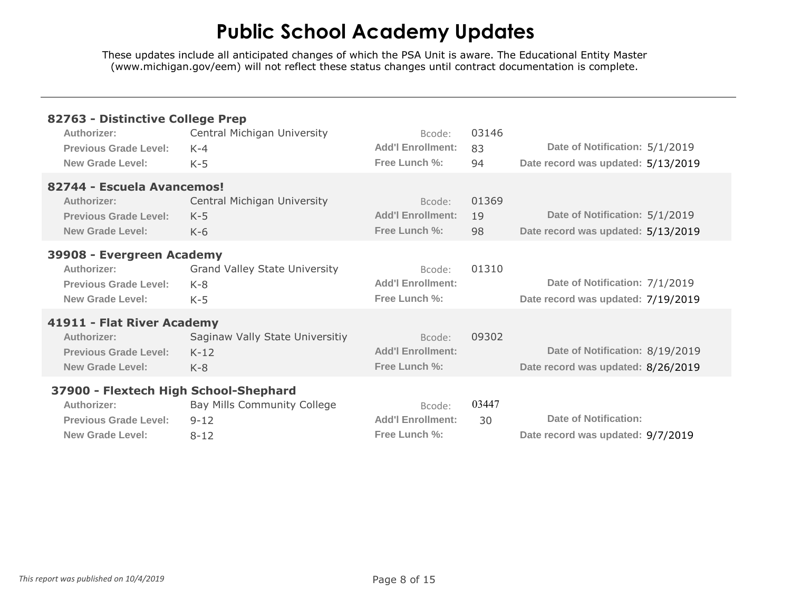| 82763 - Distinctive College Prep                                                                                |                                                        |                                                     |                   |                                                                       |
|-----------------------------------------------------------------------------------------------------------------|--------------------------------------------------------|-----------------------------------------------------|-------------------|-----------------------------------------------------------------------|
| Authorizer:<br><b>Previous Grade Level:</b><br>New Grade Level:                                                 | Central Michigan University<br>$K - 4$<br>$K-5$        | Bcode:<br><b>Add'l Enrollment:</b><br>Free Lunch %: | 03146<br>83<br>94 | Date of Notification: 5/1/2019<br>Date record was updated: 5/13/2019  |
| 82744 - Escuela Avancemos!<br>Authorizer:<br><b>Previous Grade Level:</b><br>New Grade Level:                   | Central Michigan University<br>$K-5$<br>$K-6$          | Bcode:<br><b>Add'l Enrollment:</b><br>Free Lunch %: | 01369<br>19<br>98 | Date of Notification: 5/1/2019<br>Date record was updated: 5/13/2019  |
| 39908 - Evergreen Academy<br>Authorizer:<br>Previous Grade Level:<br>New Grade Level:                           | <b>Grand Valley State University</b><br>$K-8$<br>$K-5$ | Bcode:<br><b>Add'l Enrollment:</b><br>Free Lunch %: | 01310             | Date of Notification: 7/1/2019<br>Date record was updated: 7/19/2019  |
| 41911 - Flat River Academy<br>Authorizer:<br><b>Previous Grade Level:</b><br>New Grade Level:                   | Saginaw Vally State Universitiy<br>$K-12$<br>$K-8$     | Bcode:<br><b>Add'l Enrollment:</b><br>Free Lunch %: | 09302             | Date of Notification: 8/19/2019<br>Date record was updated: 8/26/2019 |
| 37900 - Flextech High School-Shephard<br>Authorizer:<br><b>Previous Grade Level:</b><br><b>New Grade Level:</b> | Bay Mills Community College<br>$9 - 12$<br>$8 - 12$    | Bcode:<br><b>Add'l Enrollment:</b><br>Free Lunch %: | 03447<br>30       | Date of Notification:<br>Date record was updated: 9/7/2019            |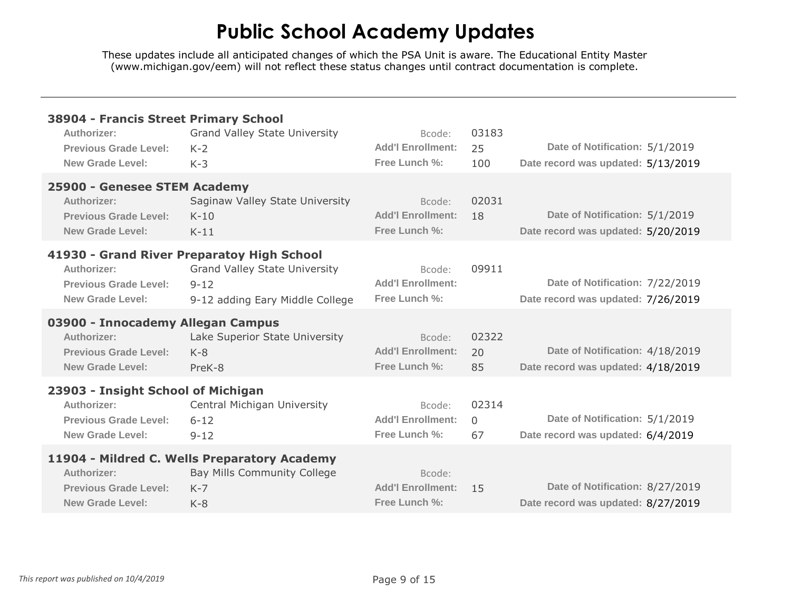| 38904 - Francis Street Primary School<br>Authorizer:<br><b>Previous Grade Level:</b><br><b>New Grade Level:</b> | <b>Grand Valley State University</b><br>$K-2$<br>$K-3$                                                                            | Bcode:<br><b>Add'l Enrollment:</b><br>Free Lunch %: | 03183<br>25<br>100      | Date of Notification: 5/1/2019<br>Date record was updated: 5/13/2019  |
|-----------------------------------------------------------------------------------------------------------------|-----------------------------------------------------------------------------------------------------------------------------------|-----------------------------------------------------|-------------------------|-----------------------------------------------------------------------|
| 25900 - Genesee STEM Academy<br>Authorizer:<br><b>Previous Grade Level:</b><br><b>New Grade Level:</b>          | Saginaw Valley State University<br>$K-10$<br>$K-11$                                                                               | Bcode:<br><b>Add'l Enrollment:</b><br>Free Lunch %: | 02031<br>18             | Date of Notification: 5/1/2019<br>Date record was updated: 5/20/2019  |
| Authorizer:<br><b>Previous Grade Level:</b><br>New Grade Level:                                                 | 41930 - Grand River Preparatoy High School<br><b>Grand Valley State University</b><br>$9 - 12$<br>9-12 adding Eary Middle College | Bcode:<br><b>Add'l Enrollment:</b><br>Free Lunch %: | 09911                   | Date of Notification: 7/22/2019<br>Date record was updated: 7/26/2019 |
| 03900 - Innocademy Allegan Campus<br>Authorizer:<br>Previous Grade Level:<br><b>New Grade Level:</b>            | Lake Superior State University<br>$K-8$<br>PreK-8                                                                                 | Bcode:<br><b>Add'l Enrollment:</b><br>Free Lunch %: | 02322<br>20<br>85       | Date of Notification: 4/18/2019<br>Date record was updated: 4/18/2019 |
| 23903 - Insight School of Michigan<br>Authorizer:<br><b>Previous Grade Level:</b><br><b>New Grade Level:</b>    | Central Michigan University<br>$6 - 12$<br>$9 - 12$                                                                               | Bcode:<br><b>Add'l Enrollment:</b><br>Free Lunch %: | 02314<br>$\Omega$<br>67 | Date of Notification: 5/1/2019<br>Date record was updated: 6/4/2019   |
| Authorizer:<br><b>Previous Grade Level:</b><br><b>New Grade Level:</b>                                          | 11904 - Mildred C. Wells Preparatory Academy<br>Bay Mills Community College<br>$K - 7$<br>$K-8$                                   | Bcode:<br><b>Add'l Enrollment:</b><br>Free Lunch %: | 15                      | Date of Notification: 8/27/2019<br>Date record was updated: 8/27/2019 |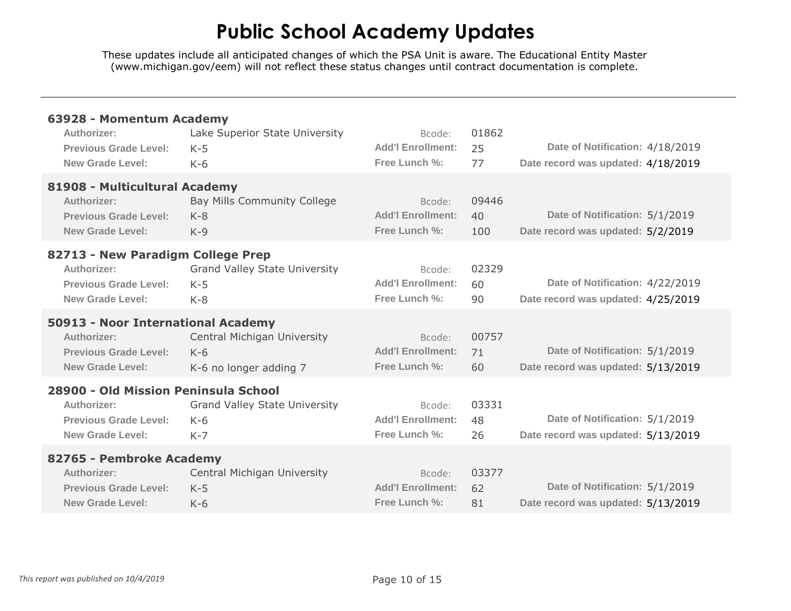| 63928 - Momentum Academy<br>Authorizer:<br><b>Previous Grade Level:</b><br><b>New Grade Level:</b>             | Lake Superior State University<br>$K-5$<br>$K-6$               | Bcode:<br><b>Add'l Enrollment:</b><br>Free Lunch %: | 01862<br>25<br>77  | Date of Notification: 4/18/2019<br>Date record was updated: 4/18/2019 |
|----------------------------------------------------------------------------------------------------------------|----------------------------------------------------------------|-----------------------------------------------------|--------------------|-----------------------------------------------------------------------|
| 81908 - Multicultural Academy<br>Authorizer:<br><b>Previous Grade Level:</b><br>New Grade Level:               | Bay Mills Community College<br>$K-8$<br>$K-9$                  | Bcode:<br><b>Add'l Enrollment:</b><br>Free Lunch %: | 09446<br>40<br>100 | Date of Notification: 5/1/2019<br>Date record was updated: 5/2/2019   |
| 82713 - New Paradigm College Prep<br>Authorizer:<br>Previous Grade Level:<br>New Grade Level:                  | <b>Grand Valley State University</b><br>$K-5$<br>$K-8$         | Bcode:<br><b>Add'l Enrollment:</b><br>Free Lunch %: | 02329<br>60<br>90  | Date of Notification: 4/22/2019<br>Date record was updated: 4/25/2019 |
| 50913 - Noor International Academy<br>Authorizer:<br><b>Previous Grade Level:</b><br><b>New Grade Level:</b>   | Central Michigan University<br>$K-6$<br>K-6 no longer adding 7 | Bcode:<br><b>Add'l Enrollment:</b><br>Free Lunch %: | 00757<br>71<br>60  | Date of Notification: 5/1/2019<br>Date record was updated: 5/13/2019  |
| 28900 - Old Mission Peninsula School<br>Authorizer:<br><b>Previous Grade Level:</b><br><b>New Grade Level:</b> | <b>Grand Valley State University</b><br>$K-6$<br>$K-7$         | Bcode:<br><b>Add'l Enrollment:</b><br>Free Lunch %: | 03331<br>48<br>26  | Date of Notification: 5/1/2019<br>Date record was updated: 5/13/2019  |
| 82765 - Pembroke Academy<br>Authorizer:<br><b>Previous Grade Level:</b><br><b>New Grade Level:</b>             | Central Michigan University<br>$K-5$<br>$K-6$                  | Bcode:<br><b>Add'l Enrollment:</b><br>Free Lunch %: | 03377<br>62<br>81  | Date of Notification: 5/1/2019<br>Date record was updated: 5/13/2019  |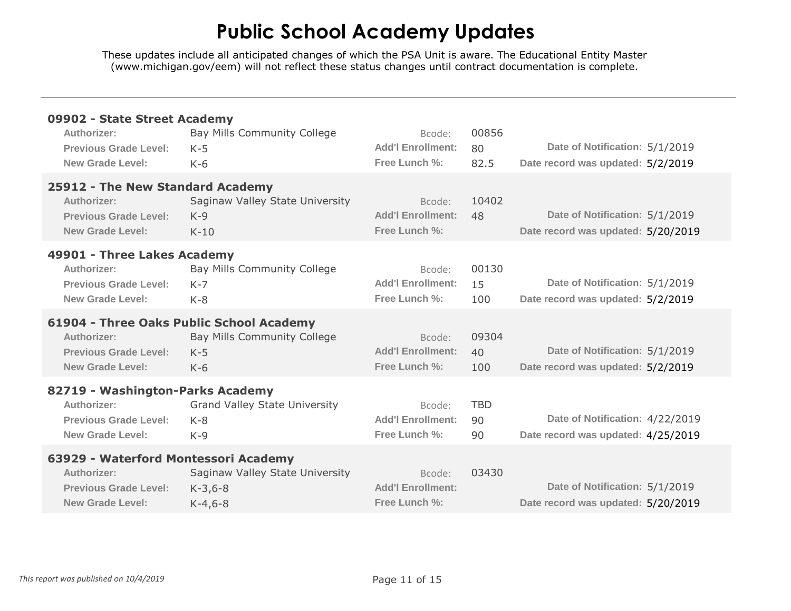| 09902 - State Street Academy<br>Authorizer:<br><b>Previous Grade Level:</b><br>New Grade Level:                | Bay Mills Community College<br>$K-5$<br>$K-6$                                             | Bcode:<br><b>Add'l Enrollment:</b><br>Free Lunch %: | 00856<br>80<br>82.5    | Date of Notification: 5/1/2019<br>Date record was updated: 5/2/2019   |
|----------------------------------------------------------------------------------------------------------------|-------------------------------------------------------------------------------------------|-----------------------------------------------------|------------------------|-----------------------------------------------------------------------|
| 25912 - The New Standard Academy<br>Authorizer:<br><b>Previous Grade Level:</b><br><b>New Grade Level:</b>     | Saginaw Valley State University<br>$K-9$<br>$K-10$                                        | Bcode:<br><b>Add'l Enrollment:</b><br>Free Lunch %: | 10402<br>48            | Date of Notification: 5/1/2019<br>Date record was updated: 5/20/2019  |
| 49901 - Three Lakes Academy<br>Authorizer:<br><b>Previous Grade Level:</b><br>New Grade Level:                 | Bay Mills Community College<br>$K - 7$<br>$K - 8$                                         | Bcode:<br><b>Add'l Enrollment:</b><br>Free Lunch %: | 00130<br>15<br>100     | Date of Notification: 5/1/2019<br>Date record was updated: 5/2/2019   |
| Authorizer:<br>Previous Grade Level:<br><b>New Grade Level:</b>                                                | 61904 - Three Oaks Public School Academy<br>Bay Mills Community College<br>$K-5$<br>$K-6$ | Bcode:<br><b>Add'l Enrollment:</b><br>Free Lunch %: | 09304<br>40<br>100     | Date of Notification: 5/1/2019<br>Date record was updated: 5/2/2019   |
| 82719 - Washington-Parks Academy<br>Authorizer:<br><b>Previous Grade Level:</b><br>New Grade Level:            | <b>Grand Valley State University</b><br>$K - 8$<br>$K-9$                                  | Bcode:<br><b>Add'l Enrollment:</b><br>Free Lunch %: | <b>TBD</b><br>90<br>90 | Date of Notification: 4/22/2019<br>Date record was updated: 4/25/2019 |
| 63929 - Waterford Montessori Academy<br>Authorizer:<br><b>Previous Grade Level:</b><br><b>New Grade Level:</b> | Saginaw Valley State University<br>$K-3,6-8$<br>$K-4,6-8$                                 | Bcode:<br><b>Add'l Enrollment:</b><br>Free Lunch %: | 03430                  | Date of Notification: 5/1/2019<br>Date record was updated: 5/20/2019  |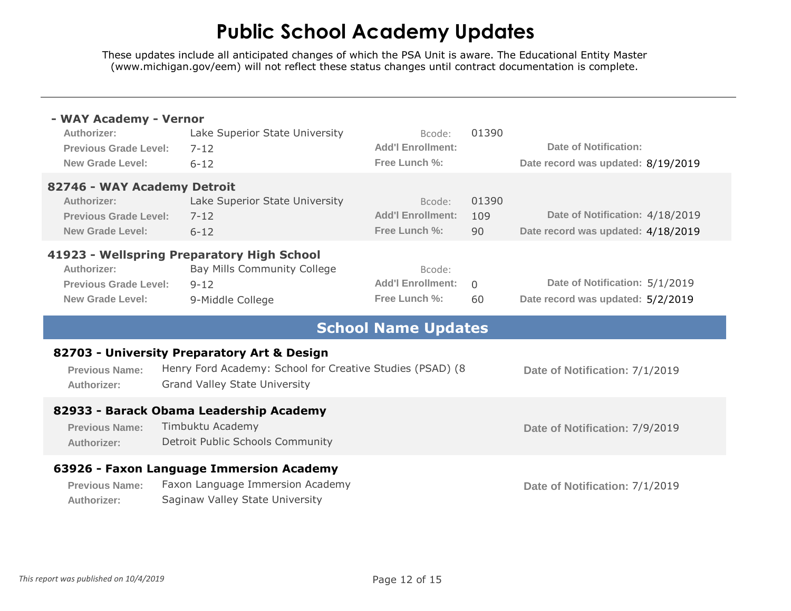| - WAY Academy - Vernor<br>Authorizer:<br>Previous Grade Level:<br>New Grade Level:                    | Lake Superior State University<br>$7 - 12$<br>$6 - 12$                                                                                           | Bcode:<br><b>Add'l Enrollment:</b><br>Free Lunch %: | 01390              | Date of Notification:<br>Date record was updated: 8/19/2019           |
|-------------------------------------------------------------------------------------------------------|--------------------------------------------------------------------------------------------------------------------------------------------------|-----------------------------------------------------|--------------------|-----------------------------------------------------------------------|
| 82746 - WAY Academy Detroit<br>Authorizer:<br><b>Previous Grade Level:</b><br><b>New Grade Level:</b> | Lake Superior State University<br>$7 - 12$<br>$6 - 12$                                                                                           | Bcode:<br><b>Add'l Enrollment:</b><br>Free Lunch %: | 01390<br>109<br>90 | Date of Notification: 4/18/2019<br>Date record was updated: 4/18/2019 |
| Authorizer:<br><b>Previous Grade Level:</b><br><b>New Grade Level:</b>                                | 41923 - Wellspring Preparatory High School<br>Bay Mills Community College<br>$9 - 12$<br>9-Middle College                                        | Bcode:<br><b>Add'l Enrollment:</b><br>Free Lunch %: | $\Omega$<br>60     | Date of Notification: 5/1/2019<br>Date record was updated: 5/2/2019   |
|                                                                                                       |                                                                                                                                                  |                                                     |                    |                                                                       |
|                                                                                                       |                                                                                                                                                  | <b>School Name Updates</b>                          |                    |                                                                       |
| <b>Previous Name:</b><br>Authorizer:                                                                  | 82703 - University Preparatory Art & Design<br>Henry Ford Academy: School for Creative Studies (PSAD) (8<br><b>Grand Valley State University</b> |                                                     |                    | Date of Notification: 7/1/2019                                        |
| <b>Previous Name:</b><br>Authorizer:                                                                  | 82933 - Barack Obama Leadership Academy<br>Timbuktu Academy<br>Detroit Public Schools Community                                                  |                                                     |                    | Date of Notification: 7/9/2019                                        |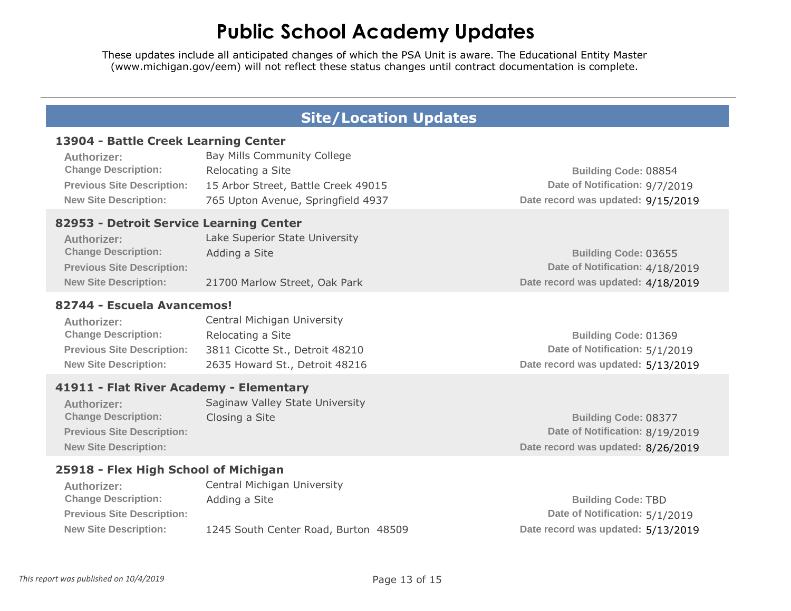These updates include all anticipated changes of which the PSA Unit is aware. The Educational Entity Master [\(www.michigan.gov/eem\)](www.michigan.gov/eem) will not reflect these status changes until contract documentation is complete.

#### **Site/Location Updates**

#### **13904 - Battle Creek Learning Center**

| <b>Authorizer:</b>                | Bay Mills Community College         |                                    |
|-----------------------------------|-------------------------------------|------------------------------------|
| <b>Change Description:</b>        | Relocating a Site                   | <b>Building Code: 08854</b>        |
| <b>Previous Site Description:</b> | 15 Arbor Street, Battle Creek 49015 | Date of Notification: 9/7/2019     |
| <b>New Site Description:</b>      | 765 Upton Avenue, Springfield 4937  | Date record was updated: 9/15/2019 |

#### **82953 - Detroit Service Learning Center**

| Authorizer:                       | Lake Superior State University |                                    |
|-----------------------------------|--------------------------------|------------------------------------|
| <b>Change Description:</b>        | Adding a Site                  | <b>Building Code: 03655</b>        |
| <b>Previous Site Description:</b> |                                | Date of Notification: 4/18/2019    |
| <b>New Site Description:</b>      | 21700 Marlow Street, Oak Park  | Date record was updated: 4/18/2019 |

#### **82744 - Escuela Avancemos!**

| <b>Authorizer:</b>                | Central Michigan University     |                                    |
|-----------------------------------|---------------------------------|------------------------------------|
| <b>Change Description:</b>        | Relocating a Site               | Building Code: 01369               |
| <b>Previous Site Description:</b> | 3811 Cicotte St., Detroit 48210 | Date of Notification: 5/1/2019     |
| <b>New Site Description:</b>      | 2635 Howard St., Detroit 48216  | Date record was updated: 5/13/2019 |

#### **41911 - Flat River Academy - Elementary**

| <b>Authorizer:</b>                | Saginaw Valley State University |
|-----------------------------------|---------------------------------|
| <b>Change Description:</b>        | Closing a Site                  |
| <b>Previous Site Description:</b> |                                 |
| <b>New Site Description:</b>      |                                 |

#### **25918 - Flex High School of Michigan**

| Authorizer:                       | Central Michigan University          |
|-----------------------------------|--------------------------------------|
| <b>Change Description:</b>        | Adding a Site                        |
| <b>Previous Site Description:</b> |                                      |
| <b>New Site Description:</b>      | 1245 South Center Road, Burton 48509 |

**Building Code:** 08377 **Date of Notification:** 8/19/2019 **Date record was updated:** 8/26/2019

**Building Code:** TBD **Date of Notification:** 5/1/2019 **Date record was updated:** 5/13/2019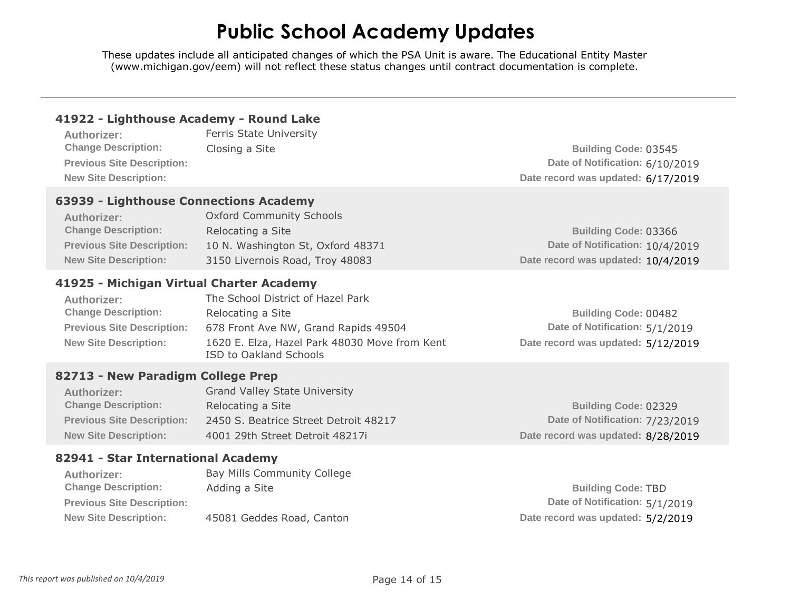| 41922 - Lighthouse Academy - Round Lake                                                                                                                  |                                                                                                                                                                                  |                                                                                                      |
|----------------------------------------------------------------------------------------------------------------------------------------------------------|----------------------------------------------------------------------------------------------------------------------------------------------------------------------------------|------------------------------------------------------------------------------------------------------|
| Authorizer:                                                                                                                                              | Ferris State University                                                                                                                                                          |                                                                                                      |
| <b>Change Description:</b>                                                                                                                               | Closing a Site                                                                                                                                                                   | <b>Building Code: 03545</b>                                                                          |
| <b>Previous Site Description:</b>                                                                                                                        |                                                                                                                                                                                  | Date of Notification: 6/10/2019                                                                      |
| <b>New Site Description:</b>                                                                                                                             |                                                                                                                                                                                  | Date record was updated: 6/17/2019                                                                   |
| 63939 - Lighthouse Connections Academy<br>Authorizer:<br><b>Change Description:</b><br><b>Previous Site Description:</b><br><b>New Site Description:</b> | <b>Oxford Community Schools</b><br>Relocating a Site<br>10 N. Washington St, Oxford 48371<br>3150 Livernois Road, Troy 48083                                                     | <b>Building Code: 03366</b><br>Date of Notification: 10/4/2019<br>Date record was updated: 10/4/2019 |
| 41925 - Michigan Virtual Charter Academy                                                                                                                 |                                                                                                                                                                                  |                                                                                                      |
| Authorizer:<br><b>Change Description:</b><br><b>Previous Site Description:</b><br><b>New Site Description:</b>                                           | The School District of Hazel Park<br>Relocating a Site<br>678 Front Ave NW, Grand Rapids 49504<br>1620 E. Elza, Hazel Park 48030 Move from Kent<br><b>ISD to Oakland Schools</b> | <b>Building Code: 00482</b><br>Date of Notification: 5/1/2019<br>Date record was updated: 5/12/2019  |
| 82713 - New Paradigm College Prep                                                                                                                        |                                                                                                                                                                                  |                                                                                                      |
| Authorizer:                                                                                                                                              | <b>Grand Valley State University</b>                                                                                                                                             |                                                                                                      |
| <b>Change Description:</b>                                                                                                                               | Relocating a Site                                                                                                                                                                | <b>Building Code: 02329</b>                                                                          |
| <b>Previous Site Description:</b>                                                                                                                        | 2450 S. Beatrice Street Detroit 48217                                                                                                                                            | Date of Notification: 7/23/2019                                                                      |
| <b>New Site Description:</b>                                                                                                                             | 4001 29th Street Detroit 48217i                                                                                                                                                  | Date record was updated: 8/28/2019                                                                   |
| 82941 - Star International Academy                                                                                                                       |                                                                                                                                                                                  |                                                                                                      |
| Authorizer:                                                                                                                                              | Bay Mills Community College                                                                                                                                                      |                                                                                                      |
| <b>Change Description:</b>                                                                                                                               | Adding a Site                                                                                                                                                                    | <b>Building Code: TBD</b>                                                                            |
| <b>Previous Site Description:</b>                                                                                                                        |                                                                                                                                                                                  | Date of Notification: 5/1/2019                                                                       |
| <b>New Site Description:</b>                                                                                                                             | 45081 Geddes Road, Canton                                                                                                                                                        | Date record was updated: 5/2/2019                                                                    |